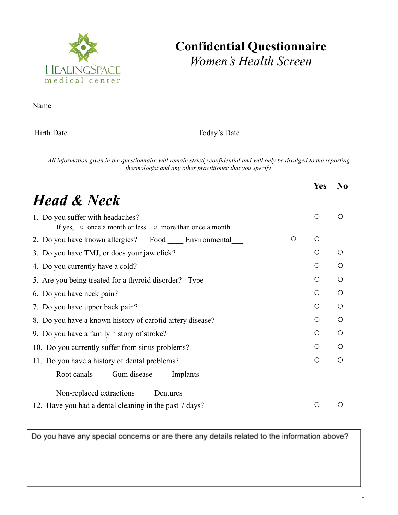

## **Confidential Questionnaire** *Women's Health Screen*

Name

Birth Date Today's Date

All information given in the questionnaire will remain strictly confidential and will only be divulged to the reporting *thermologist and any other practitioner that you specify.*

|                                                                                                         |   | <b>Yes</b>       | N <sub>0</sub> |
|---------------------------------------------------------------------------------------------------------|---|------------------|----------------|
| <b>Head &amp; Neck</b>                                                                                  |   |                  |                |
| 1. Do you suffer with headaches?<br>If yes, $\circ$ once a month or less $\circ$ more than once a month |   | $\circ$          | ∩              |
| 2. Do you have known allergies? Food Environmental                                                      | O | O                |                |
| 3. Do you have TMJ, or does your jaw click?                                                             |   | O                | $\bigcirc$     |
| 4. Do you currently have a cold?                                                                        |   | Ο                | $\bigcirc$     |
| 5. Are you being treated for a thyroid disorder? Type                                                   |   | $\bigcirc$       | $\bigcirc$     |
| 6. Do you have neck pain?                                                                               |   | O                | O              |
| 7. Do you have upper back pain?                                                                         |   | O                | Ω              |
| 8. Do you have a known history of carotid artery disease?                                               |   | O                | $\bigcirc$     |
| 9. Do you have a family history of stroke?                                                              |   | O                | Ω              |
| 10. Do you currently suffer from sinus problems?                                                        |   | O                | $\bigcirc$     |
| 11. Do you have a history of dental problems?                                                           |   | O                | Ω              |
| Root canals Cum disease Cumplants                                                                       |   |                  |                |
| Non-replaced extractions _____ Dentures _____                                                           |   |                  |                |
| 12. Have you had a dental cleaning in the past 7 days?                                                  |   | $\left( \right)$ |                |

Do you have any special concerns or are there any details related to the information above?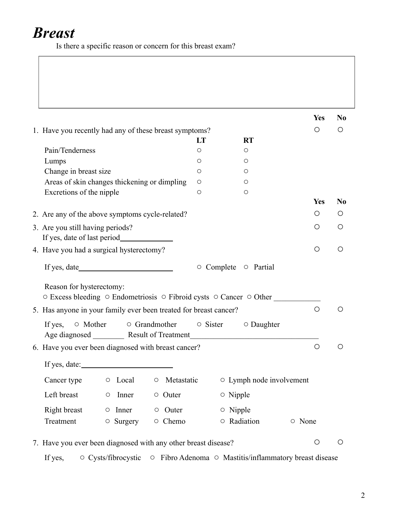## *Breast*

Is there a specific reason or concern for this breast exam?

|                                                                                                                                      |         |                                 | <b>Yes</b> | N <sub>0</sub>                                |
|--------------------------------------------------------------------------------------------------------------------------------------|---------|---------------------------------|------------|-----------------------------------------------|
| 1. Have you recently had any of these breast symptoms?                                                                               |         |                                 | O          | $\left( \right)$                              |
|                                                                                                                                      | LT      | <b>RT</b>                       |            |                                               |
| Pain/Tenderness                                                                                                                      | O       | O                               |            |                                               |
| Lumps                                                                                                                                | $\circ$ | O                               |            |                                               |
| Change in breast size                                                                                                                | $\circ$ | O                               |            |                                               |
| Areas of skin changes thickening or dimpling                                                                                         | $\circ$ | O                               |            |                                               |
| Excretions of the nipple                                                                                                             | $\circ$ | O                               |            |                                               |
|                                                                                                                                      |         |                                 | <b>Yes</b> | N <sub>0</sub>                                |
| 2. Are any of the above symptoms cycle-related?                                                                                      |         |                                 | O          | $\left( \right)$                              |
| 3. Are you still having periods?                                                                                                     |         |                                 | $\bigcirc$ | O                                             |
| 4. Have you had a surgical hysterectomy?                                                                                             |         |                                 | $\circ$    | $\left(\begin{array}{c} 1 \end{array}\right)$ |
|                                                                                                                                      |         | ○ Complete ○ Partial            |            |                                               |
| Reason for hysterectomy:<br>○ Excess bleeding ○ Endometriosis ○ Fibroid cysts ○ Cancer ○ Other                                       |         |                                 |            |                                               |
| 5. Has anyone in your family ever been treated for breast cancer?                                                                    |         |                                 | $\bigcirc$ |                                               |
| $\circ$ Mother<br>$\circ$ Grandmother<br>If yes,<br>Age diagnosed __________ Result of Treatment ___________________________________ |         | $\circ$ Sister $\circ$ Daughter |            |                                               |
| 6. Have you ever been diagnosed with breast cancer?                                                                                  |         |                                 | $\bigcirc$ |                                               |
| If yes, date: $\qquad \qquad \qquad$                                                                                                 |         |                                 |            |                                               |
| O Local<br>Metastatic<br>Cancer type<br>$\circ$                                                                                      |         | ○ Lymph node involvement        |            |                                               |
| Left breast<br>Inner<br>○ Outer<br>$\bigcirc$                                                                                        |         | $\circ$ Nipple                  |            |                                               |
| Right breast<br>$\circ$ Inner<br>$\circ$ Outer                                                                                       |         | $\circ$ Nipple                  |            |                                               |
| Treatment<br>$\circ$ Surgery<br>○ Chemo                                                                                              |         | ○ Radiation                     | ○ None     |                                               |
| 7. Have you ever been diagnosed with any other breast disease?                                                                       |         |                                 | $\circ$    | $\circ$                                       |
| ○ Cysts/fibrocystic ○ Fibro Adenoma ○ Mastitis/inflammatory breast disease<br>If yes,                                                |         |                                 |            |                                               |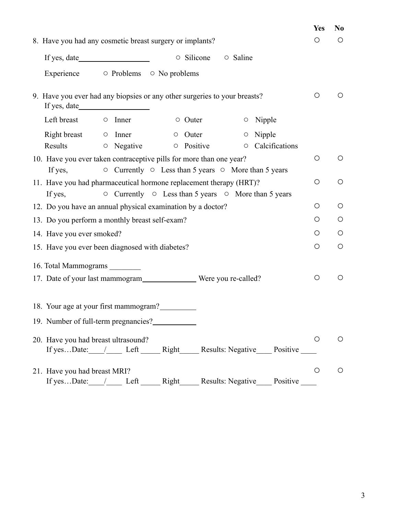|                                                                                                                                                         | <b>Yes</b> | N <sub>0</sub> |
|---------------------------------------------------------------------------------------------------------------------------------------------------------|------------|----------------|
| 8. Have you had any cosmetic breast surgery or implants?                                                                                                | O          | O              |
| $\circ$ Silicone<br>○ Saline                                                                                                                            |            |                |
| Experience 		 o Problems 		 o No problems                                                                                                               |            |                |
| 9. Have you ever had any biopsies or any other surgeries to your breasts?                                                                               | O          | $\circ$        |
| Left breast o Inner<br>$\circ$ Outer<br>$\circ$ Nipple                                                                                                  |            |                |
| $Right \, break$ $\circ$ Inner<br>$\circ$ Outer<br>$\circ$ Nipple<br>$\circ$ Negative<br>Results<br>$\circ$ Positive<br><b>O</b> Calcifications         |            |                |
| 10. Have you ever taken contraceptive pills for more than one year?<br>$\circ$ Currently $\circ$ Less than 5 years $\circ$ More than 5 years<br>If yes, | $\circ$    | $\circ$        |
| 11. Have you had pharmaceutical hormone replacement therapy (HRT)?<br>$\circ$ Currently $\circ$ Less than 5 years $\circ$ More than 5 years<br>If yes,  | $\bigcirc$ | $\bigcirc$     |
| 12. Do you have an annual physical examination by a doctor?                                                                                             | $\circ$    | $\bigcirc$     |
| 13. Do you perform a monthly breast self-exam?                                                                                                          | O          | $\bigcirc$     |
| 14. Have you ever smoked?                                                                                                                               | O          | $\circ$        |
| 15. Have you ever been diagnosed with diabetes?                                                                                                         | O          | $\bigcirc$     |
| 16. Total Mammograms _________                                                                                                                          |            |                |
| 17. Date of your last mammogram _______________________ Were you re-called?                                                                             | $\circ$    | $\circ$        |
| 18. Your age at your first mammogram?                                                                                                                   |            |                |
| 19. Number of full-term pregnancies?                                                                                                                    |            |                |
| 20. Have you had breast ultrasound?<br>If yesDate: / Left Right Results: Negative Positive                                                              | Ő          | O              |
| 21. Have you had breast MRI?<br>Results: Negative<br>If yesDate:<br>Positive<br>Left<br>Right                                                           | O          | $\bigcirc$     |